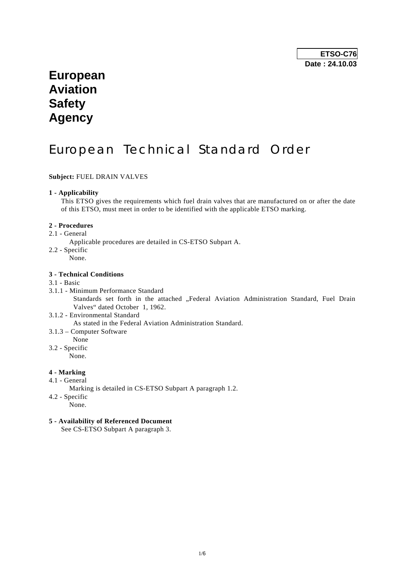## **European Aviation Safety Agency**

# European Technical Standard Order

## **Subject:** FUEL DRAIN VALVES

#### **1 - Applicability**

 This ETSO gives the requirements which fuel drain valves that are manufactured on or after the date of this ETSO, must meet in order to be identified with the applicable ETSO marking.

#### **2 - Procedures**

- 2.1 General
	- Applicable procedures are detailed in CS-ETSO Subpart A.
- 2.2 Specific
- None.

### **3 - Technical Conditions**

#### 3.1 - Basic

- 3.1.1 Minimum Performance Standard Standards set forth in the attached "Federal Aviation Administration Standard, Fuel Drain Valves" dated October 1, 1962.
- 3.1.2 Environmental Standard As stated in the Federal Aviation Administration Standard.
- 3.1.3 Computer Software
- None
- 3.2 Specific

None.

## **4 - Marking**

- 4.1 General
	- Marking is detailed in CS-ETSO Subpart A paragraph 1.2.
- 4.2 Specific
	- None.

## **5 - Availability of Referenced Document**

See CS-ETSO Subpart A paragraph 3.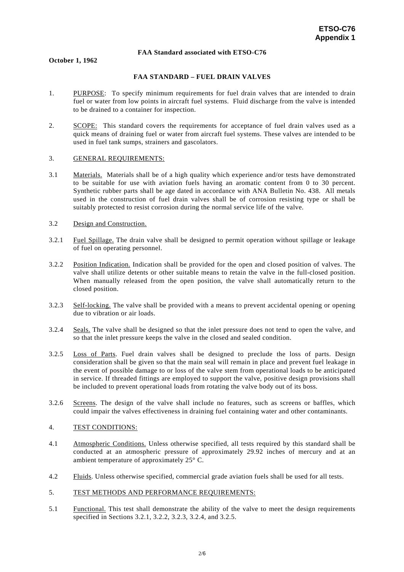#### **FAA Standard associated with ETSO-C76**

**October 1, 1962** 

#### **FAA STANDARD – FUEL DRAIN VALVES**

- 1. PURPOSE: To specify minimum requirements for fuel drain valves that are intended to drain fuel or water from low points in aircraft fuel systems. Fluid discharge from the valve is intended to be drained to a container for inspection.
- 2. SCOPE: This standard covers the requirements for acceptance of fuel drain valves used as a quick means of draining fuel or water from aircraft fuel systems. These valves are intended to be used in fuel tank sumps, strainers and gascolators.

#### 3. GENERAL REQUIREMENTS:

3.1 Materials. Materials shall be of a high quality which experience and/or tests have demonstrated to be suitable for use with aviation fuels having an aromatic content from 0 to 30 percent. Synthetic rubber parts shall be age dated in accordance with ANA Bulletin No. 438. All metals used in the construction of fuel drain valves shall be of corrosion resisting type or shall be suitably protected to resist corrosion during the normal service life of the valve.

#### 3.2 Design and Construction.

- 3.2.1 Fuel Spillage. The drain valve shall be designed to permit operation without spillage or leakage of fuel on operating personnel.
- 3.2.2 Position Indication. Indication shall be provided for the open and closed position of valves. The valve shall utilize detents or other suitable means to retain the valve in the full-closed position. When manually released from the open position, the valve shall automatically return to the closed position.
- 3.2.3 Self-locking. The valve shall be provided with a means to prevent accidental opening or opening due to vibration or air loads.
- 3.2.4 Seals. The valve shall be designed so that the inlet pressure does not tend to open the valve, and so that the inlet pressure keeps the valve in the closed and sealed condition.
- 3.2.5 Loss of Parts. Fuel drain valves shall be designed to preclude the loss of parts. Design consideration shall be given so that the main seal will remain in place and prevent fuel leakage in the event of possible damage to or loss of the valve stem from operational loads to be anticipated in service. If threaded fittings are employed to support the valve, positive design provisions shall be included to prevent operational loads from rotating the valve body out of its boss.
- 3.2.6 Screens. The design of the valve shall include no features, such as screens or baffles, which could impair the valves effectiveness in draining fuel containing water and other contaminants.

#### 4. TEST CONDITIONS:

- 4.1 Atmospheric Conditions. Unless otherwise specified, all tests required by this standard shall be conducted at an atmospheric pressure of approximately 29.92 inches of mercury and at an ambient temperature of approximately 25° C.
- 4.2 Fluids. Unless otherwise specified, commercial grade aviation fuels shall be used for all tests.
- 5. TEST METHODS AND PERFORMANCE REQUIREMENTS:
- 5.1 Functional. This test shall demonstrate the ability of the valve to meet the design requirements specified in Sections 3.2.1, 3.2.2, 3.2.3, 3.2.4, and 3.2.5.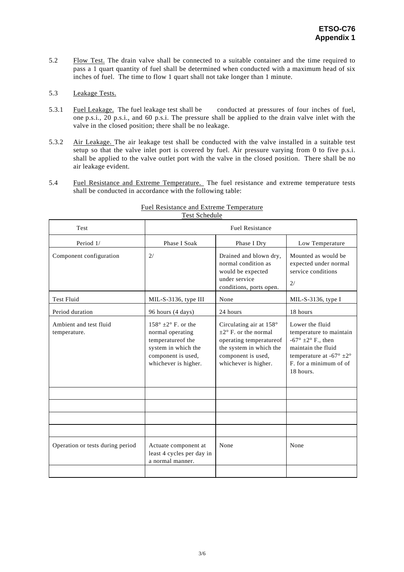5.2 Flow Test. The drain valve shall be connected to a suitable container and the time required to pass a 1 quart quantity of fuel shall be determined when conducted with a maximum head of six inches of fuel. The time to flow 1 quart shall not take longer than 1 minute.

## 5.3 Leakage Tests.

- 5.3.1 Fuel Leakage. The fuel leakage test shall be conducted at pressures of four inches of fuel, one p.s.i., 20 p.s.i., and 60 p.s.i. The pressure shall be applied to the drain valve inlet with the valve in the closed position; there shall be no leakage.
- 5.3.2 Air Leakage. The air leakage test shall be conducted with the valve installed in a suitable test setup so that the valve inlet port is covered by fuel. Air pressure varying from 0 to five p.s.i. shall be applied to the valve outlet port with the valve in the closed position. There shall be no air leakage evident.
- 5.4 Fuel Resistance and Extreme Temperature. The fuel resistance and extreme temperature tests shall be conducted in accordance with the following table:

| <b>Test</b>                            | <b>Fuel Resistance</b>                                                                                                                          |                                                                                                                                                                        |                                                                                                                                                                                            |  |  |
|----------------------------------------|-------------------------------------------------------------------------------------------------------------------------------------------------|------------------------------------------------------------------------------------------------------------------------------------------------------------------------|--------------------------------------------------------------------------------------------------------------------------------------------------------------------------------------------|--|--|
| Period 1/                              | Phase I Soak                                                                                                                                    | Phase I Dry                                                                                                                                                            | Low Temperature                                                                                                                                                                            |  |  |
| Component configuration                | 2/                                                                                                                                              | Drained and blown dry,<br>normal condition as<br>would be expected<br>under service<br>conditions, ports open.                                                         | Mounted as would be<br>expected under normal<br>service conditions<br>2/                                                                                                                   |  |  |
| <b>Test Fluid</b>                      | MIL-S-3136, type III                                                                                                                            | None                                                                                                                                                                   | MIL-S-3136, type $I$                                                                                                                                                                       |  |  |
| Period duration                        | 96 hours (4 days)                                                                                                                               | 24 hours                                                                                                                                                               | 18 hours                                                                                                                                                                                   |  |  |
| Ambient and test fluid<br>temperature. | $158^\circ \pm 2^\circ$ F. or the<br>normal operating<br>temperatureof the<br>system in which the<br>component is used,<br>whichever is higher. | Circulating air at $158^\circ$<br>$\pm 2^{\circ}$ F. or the normal<br>operating temperatureof<br>the system in which the<br>component is used,<br>whichever is higher. | Lower the fluid<br>temperature to maintain<br>$-67^\circ \pm 2^\circ$ F., then<br>maintain the fluid<br>temperature at -67 $\degree$ $\pm 2\degree$<br>F. for a minimum of of<br>18 hours. |  |  |
|                                        |                                                                                                                                                 |                                                                                                                                                                        |                                                                                                                                                                                            |  |  |
|                                        |                                                                                                                                                 |                                                                                                                                                                        |                                                                                                                                                                                            |  |  |
|                                        |                                                                                                                                                 |                                                                                                                                                                        |                                                                                                                                                                                            |  |  |
|                                        |                                                                                                                                                 |                                                                                                                                                                        |                                                                                                                                                                                            |  |  |
| Operation or tests during period       | Actuate component at<br>least 4 cycles per day in<br>a normal manner.                                                                           | None                                                                                                                                                                   | None                                                                                                                                                                                       |  |  |
|                                        |                                                                                                                                                 |                                                                                                                                                                        |                                                                                                                                                                                            |  |  |

### Fuel Resistance and Extreme Temperature Test Schedule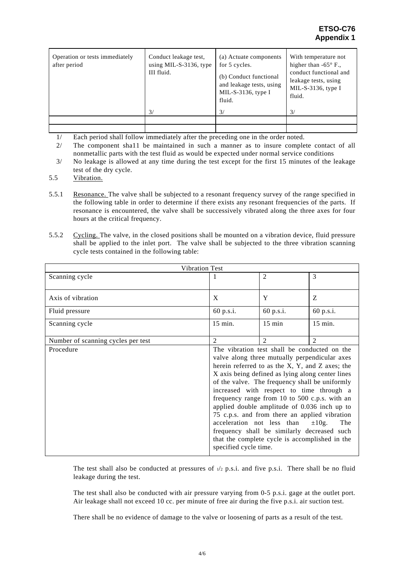## **ETSO-C76 Appendix 1**

| Operation or tests immediately<br>after period | Conduct leakage test,<br>using MIL-S-3136, type<br>III fluid. | (a) Actuate components<br>for 5 cycles.<br>(b) Conduct functional<br>and leakage tests, using<br>MIL-S-3136, type $I$<br>fluid. | With temperature not<br>higher than $-65^{\circ}$ F.,<br>conduct functional and<br>leakage tests, using<br>MIL-S-3136, type $I$<br>fluid. |
|------------------------------------------------|---------------------------------------------------------------|---------------------------------------------------------------------------------------------------------------------------------|-------------------------------------------------------------------------------------------------------------------------------------------|
|                                                | 3/                                                            | $\frac{3}{2}$                                                                                                                   | 3/                                                                                                                                        |
|                                                |                                                               |                                                                                                                                 |                                                                                                                                           |
|                                                |                                                               |                                                                                                                                 |                                                                                                                                           |

1/ Each period shall follow immediately after the preceding one in the order noted.

 2/ The component sha11 be maintained in such a manner as to insure complete contact of all nonmetallic parts with the test fluid as would be expected under normal service conditions

- 3/ No leakage is allowed at any time during the test except for the first 15 minutes of the leakage test of the dry cycle.
- 5.5 Vibration.
- 5.5.1 Resonance. The valve shall be subjected to a resonant frequency survey of the range specified in the following table in order to determine if there exists any resonant frequencies of the parts. If resonance is encountered, the valve shall be successively vibrated along the three axes for four hours at the critical frequency.
- 5.5.2 Cycling. The valve, in the closed positions shall be mounted on a vibration device, fluid pressure shall be applied to the inlet port. The valve shall be subjected to the three vibration scanning cycle tests contained in the following table:

| <b>Vibration Test</b>              |                                                                                                                                                                                                                                                                                                                                                                                                                                                                                                                                                                                                                                            |                  |                |  |  |  |
|------------------------------------|--------------------------------------------------------------------------------------------------------------------------------------------------------------------------------------------------------------------------------------------------------------------------------------------------------------------------------------------------------------------------------------------------------------------------------------------------------------------------------------------------------------------------------------------------------------------------------------------------------------------------------------------|------------------|----------------|--|--|--|
| Scanning cycle                     | 1                                                                                                                                                                                                                                                                                                                                                                                                                                                                                                                                                                                                                                          | $\overline{2}$   | 3              |  |  |  |
| Axis of vibration                  | X                                                                                                                                                                                                                                                                                                                                                                                                                                                                                                                                                                                                                                          | Y                | Z              |  |  |  |
| Fluid pressure                     | 60 p.s.i.                                                                                                                                                                                                                                                                                                                                                                                                                                                                                                                                                                                                                                  | 60 p.s.i.        | 60 p.s.i.      |  |  |  |
| Scanning cycle                     | 15 min.                                                                                                                                                                                                                                                                                                                                                                                                                                                                                                                                                                                                                                    | $15 \text{ min}$ | 15 min.        |  |  |  |
| Number of scanning cycles per test | 2                                                                                                                                                                                                                                                                                                                                                                                                                                                                                                                                                                                                                                          | $\overline{2}$   | $\overline{2}$ |  |  |  |
| Procedure                          | The vibration test shall be conducted on the<br>valve along three mutually perpendicular axes<br>herein referred to as the $X$ , $Y$ , and $Z$ axes; the<br>X axis being defined as lying along center lines<br>of the valve. The frequency shall be uniformly<br>increased with respect to time through a<br>frequency range from 10 to 500 c.p.s. with an<br>applied double amplitude of 0.036 inch up to<br>75 c.p.s. and from there an applied vibration<br>acceleration not less than<br>$\pm 10$ g.<br>The<br>frequency shall be similarly decreased such<br>that the complete cycle is accomplished in the<br>specified cycle time. |                  |                |  |  |  |

The test shall also be conducted at pressures of  $1/2$  p.s.i. and five p.s.i. There shall be no fluid leakage during the test.

 The test shall also be conducted with air pressure varying from 0-5 p.s.i. gage at the outlet port. Air leakage shall not exceed 10 cc. per minute of free air during the five p.s.i. air suction test.

There shall be no evidence of damage to the valve or loosening of parts as a result of the test.